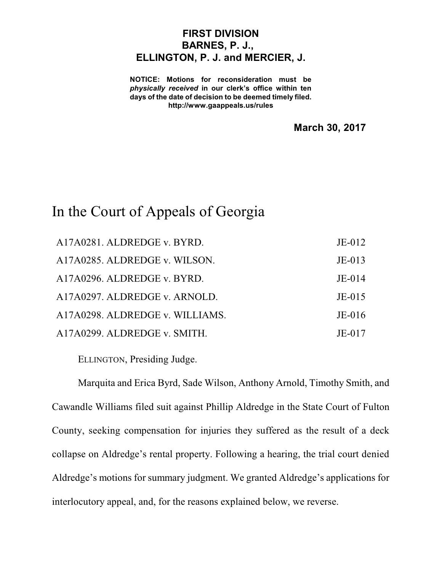## **FIRST DIVISION BARNES, P. J., ELLINGTON, P. J. and MERCIER, J.**

**NOTICE: Motions for reconsideration must be** *physically received* **in our clerk's office within ten days of the date of decision to be deemed timely filed. http://www.gaappeals.us/rules**

**March 30, 2017**

## In the Court of Appeals of Georgia

| A17A0281. ALDREDGE v. BYRD.     | $JE-012$ |
|---------------------------------|----------|
| A17A0285. ALDREDGE v. WILSON.   | $JE-013$ |
| A17A0296. ALDREDGE v. BYRD.     | $JE-014$ |
| A17A0297. ALDREDGE v. ARNOLD.   | $JE-015$ |
| A17A0298. ALDREDGE v. WILLIAMS. | $JE-016$ |
| A17A0299. ALDREDGE v. SMITH.    | $JE-017$ |

ELLINGTON, Presiding Judge.

Marquita and Erica Byrd, Sade Wilson, Anthony Arnold, Timothy Smith, and Cawandle Williams filed suit against Phillip Aldredge in the State Court of Fulton County, seeking compensation for injuries they suffered as the result of a deck collapse on Aldredge's rental property. Following a hearing, the trial court denied Aldredge's motions for summary judgment. We granted Aldredge's applications for interlocutory appeal, and, for the reasons explained below, we reverse.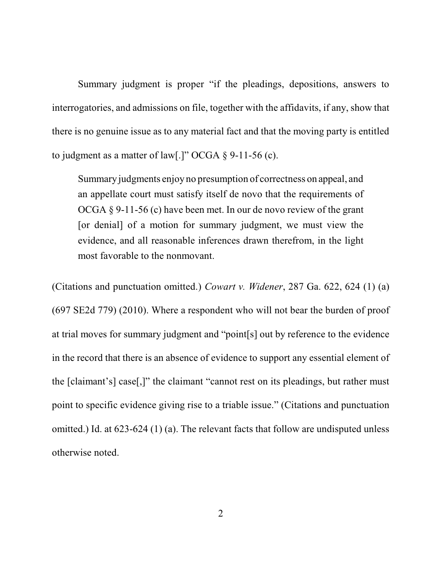Summary judgment is proper "if the pleadings, depositions, answers to interrogatories, and admissions on file, together with the affidavits, if any, show that there is no genuine issue as to any material fact and that the moving party is entitled to judgment as a matter of law[.]" OCGA  $\S$  9-11-56 (c).

Summary judgments enjoy no presumption of correctness on appeal, and an appellate court must satisfy itself de novo that the requirements of OCGA § 9-11-56 (c) have been met. In our de novo review of the grant [or denial] of a motion for summary judgment, we must view the evidence, and all reasonable inferences drawn therefrom, in the light most favorable to the nonmovant.

(Citations and punctuation omitted.) *Cowart v. Widener*, 287 Ga. 622, 624 (1) (a) (697 SE2d 779) (2010). Where a respondent who will not bear the burden of proof at trial moves for summary judgment and "point[s] out by reference to the evidence in the record that there is an absence of evidence to support any essential element of the [claimant's] case[,]" the claimant "cannot rest on its pleadings, but rather must point to specific evidence giving rise to a triable issue." (Citations and punctuation omitted.) Id. at 623-624 (1) (a). The relevant facts that follow are undisputed unless otherwise noted.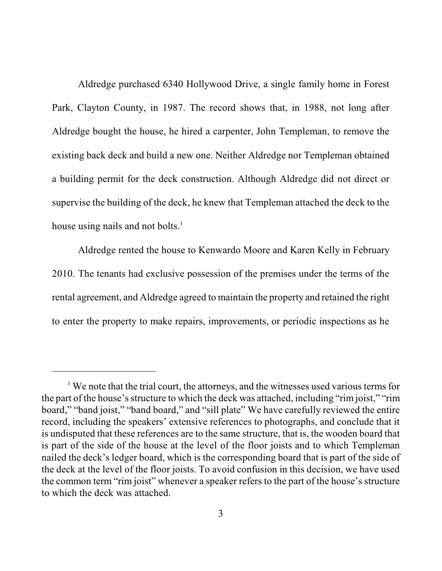Aldredge purchased 6340 Hollywood Drive, a single family home in Forest Park, Clayton County, in 1987. The record shows that, in 1988, not long after Aldredge bought the house, he hired a carpenter, John Templeman, to remove the existing back deck and build a new one. Neither Aldredge nor Templeman obtained a building permit for the deck construction. Although Aldredge did not direct or supervise the building of the deck, he knew that Templeman attached the deck to the house using nails and not bolts.<sup>1</sup>

Aldredge rented the house to Kenwardo Moore and Karen Kelly in February 2010. The tenants had exclusive possession of the premises under the terms of the rental agreement, and Aldredge agreed to maintain the property and retained the right to enter the property to make repairs, improvements, or periodic inspections as he

 $1$  We note that the trial court, the attorneys, and the witnesses used various terms for the part of the house's structure to which the deck was attached, including "rim joist," "rim board," "band joist," "band board," and "sill plate" We have carefully reviewed the entire record, including the speakers' extensive references to photographs, and conclude that it is undisputed that these references are to the same structure, that is, the wooden board that is part of the side of the house at the level of the floor joists and to which Templeman nailed the deck's ledger board, which is the corresponding board that is part of the side of the deck at the level of the floor joists. To avoid confusion in this decision, we have used the common term "rim joist" whenever a speaker refers to the part of the house's structure to which the deck was attached.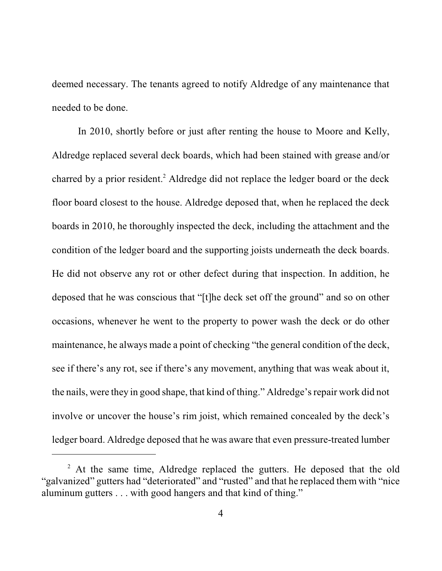deemed necessary. The tenants agreed to notify Aldredge of any maintenance that needed to be done.

In 2010, shortly before or just after renting the house to Moore and Kelly, Aldredge replaced several deck boards, which had been stained with grease and/or charred by a prior resident. <sup>2</sup> Aldredge did not replace the ledger board or the deck floor board closest to the house. Aldredge deposed that, when he replaced the deck boards in 2010, he thoroughly inspected the deck, including the attachment and the condition of the ledger board and the supporting joists underneath the deck boards. He did not observe any rot or other defect during that inspection. In addition, he deposed that he was conscious that "[t]he deck set off the ground" and so on other occasions, whenever he went to the property to power wash the deck or do other maintenance, he always made a point of checking "the general condition of the deck, see if there's any rot, see if there's any movement, anything that was weak about it, the nails, were they in good shape, that kind of thing." Aldredge's repair work did not involve or uncover the house's rim joist, which remained concealed by the deck's ledger board. Aldredge deposed that he was aware that even pressure-treated lumber

<sup>&</sup>lt;sup>2</sup> At the same time, Aldredge replaced the gutters. He deposed that the old "galvanized" gutters had "deteriorated" and "rusted" and that he replaced them with "nice aluminum gutters . . . with good hangers and that kind of thing."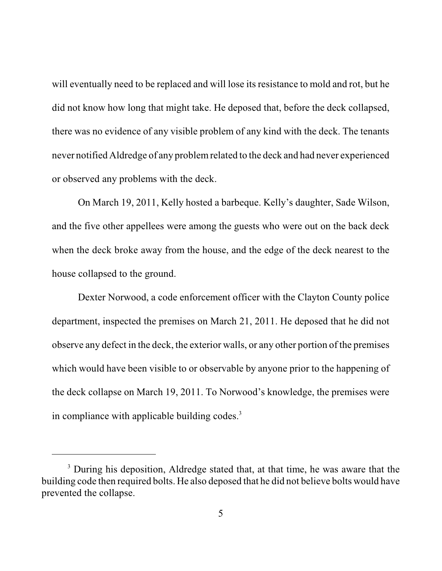will eventually need to be replaced and will lose its resistance to mold and rot, but he did not know how long that might take. He deposed that, before the deck collapsed, there was no evidence of any visible problem of any kind with the deck. The tenants never notified Aldredge of any problemrelated to the deck and had never experienced or observed any problems with the deck.

On March 19, 2011, Kelly hosted a barbeque. Kelly's daughter, Sade Wilson, and the five other appellees were among the guests who were out on the back deck when the deck broke away from the house, and the edge of the deck nearest to the house collapsed to the ground.

Dexter Norwood, a code enforcement officer with the Clayton County police department, inspected the premises on March 21, 2011. He deposed that he did not observe any defect in the deck, the exterior walls, or any other portion of the premises which would have been visible to or observable by anyone prior to the happening of the deck collapse on March 19, 2011. To Norwood's knowledge, the premises were in compliance with applicable building codes. 3

<sup>&</sup>lt;sup>3</sup> During his deposition, Aldredge stated that, at that time, he was aware that the building code then required bolts. He also deposed that he did not believe bolts would have prevented the collapse.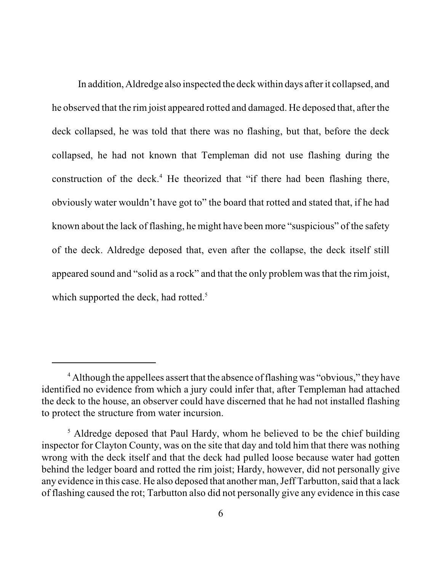In addition, Aldredge also inspected the deck within days after it collapsed, and he observed that the rim joist appeared rotted and damaged. He deposed that, after the deck collapsed, he was told that there was no flashing, but that, before the deck collapsed, he had not known that Templeman did not use flashing during the construction of the deck. <sup>4</sup> He theorized that "if there had been flashing there, obviously water wouldn't have got to" the board that rotted and stated that, if he had known about the lack of flashing, he might have been more "suspicious" of the safety of the deck. Aldredge deposed that, even after the collapse, the deck itself still appeared sound and "solid as a rock" and that the only problem wasthat the rim joist, which supported the deck, had rotted.<sup>5</sup>

<sup>&</sup>lt;sup>4</sup> Although the appellees assert that the absence of flashing was "obvious," they have identified no evidence from which a jury could infer that, after Templeman had attached the deck to the house, an observer could have discerned that he had not installed flashing to protect the structure from water incursion.

<sup>&</sup>lt;sup>5</sup> Aldredge deposed that Paul Hardy, whom he believed to be the chief building inspector for Clayton County, was on the site that day and told him that there was nothing wrong with the deck itself and that the deck had pulled loose because water had gotten behind the ledger board and rotted the rim joist; Hardy, however, did not personally give any evidence in this case. He also deposed that another man, Jeff Tarbutton, said that a lack of flashing caused the rot; Tarbutton also did not personally give any evidence in this case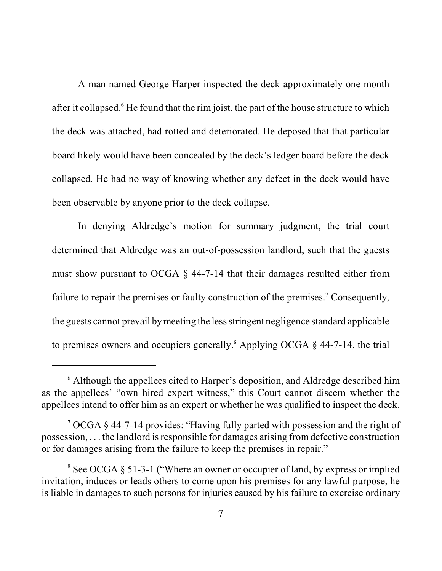A man named George Harper inspected the deck approximately one month after it collapsed.<sup>6</sup> He found that the rim joist, the part of the house structure to which the deck was attached, had rotted and deteriorated. He deposed that that particular board likely would have been concealed by the deck's ledger board before the deck collapsed. He had no way of knowing whether any defect in the deck would have been observable by anyone prior to the deck collapse.

In denying Aldredge's motion for summary judgment, the trial court determined that Aldredge was an out-of-possession landlord, such that the guests must show pursuant to OCGA § 44-7-14 that their damages resulted either from failure to repair the premises or faulty construction of the premises.<sup>7</sup> Consequently, the guests cannot prevail bymeeting the lessstringent negligence standard applicable to premises owners and occupiers generally.<sup>8</sup> Applying OCGA  $\S$  44-7-14, the trial

<sup>6</sup> Although the appellees cited to Harper's deposition, and Aldredge described him as the appellees' "own hired expert witness," this Court cannot discern whether the appellees intend to offer him as an expert or whether he was qualified to inspect the deck.

<sup>7</sup> OCGA § 44-7-14 provides: "Having fully parted with possession and the right of  $possession, \ldots$  the landlord is responsible for damages arising from defective construction or for damages arising from the failure to keep the premises in repair."

<sup>8</sup> See OCGA § 51-3-1 ("Where an owner or occupier of land, by express or implied invitation, induces or leads others to come upon his premises for any lawful purpose, he is liable in damages to such persons for injuries caused by his failure to exercise ordinary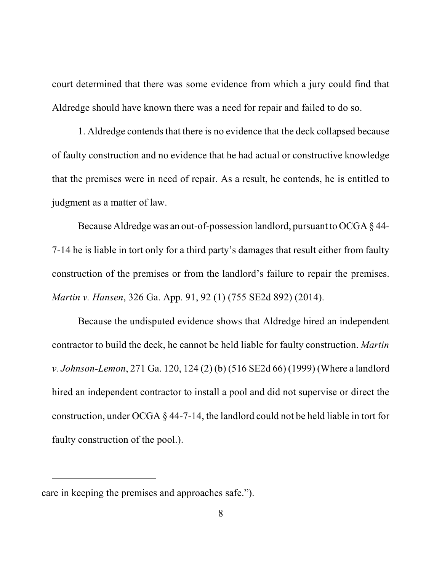court determined that there was some evidence from which a jury could find that Aldredge should have known there was a need for repair and failed to do so.

1. Aldredge contends that there is no evidence that the deck collapsed because of faulty construction and no evidence that he had actual or constructive knowledge that the premises were in need of repair. As a result, he contends, he is entitled to judgment as a matter of law.

Because Aldredge was an out-of-possession landlord, pursuant to OCGA § 44- 7-14 he is liable in tort only for a third party's damages that result either from faulty construction of the premises or from the landlord's failure to repair the premises. *Martin v. Hansen*, 326 Ga. App. 91, 92 (1) (755 SE2d 892) (2014).

Because the undisputed evidence shows that Aldredge hired an independent contractor to build the deck, he cannot be held liable for faulty construction. *Martin v. Johnson-Lemon*, 271 Ga. 120, 124 (2) (b) (516 SE2d 66) (1999) (Where a landlord hired an independent contractor to install a pool and did not supervise or direct the construction, under OCGA § 44-7-14, the landlord could not be held liable in tort for faulty construction of the pool.).

care in keeping the premises and approaches safe.").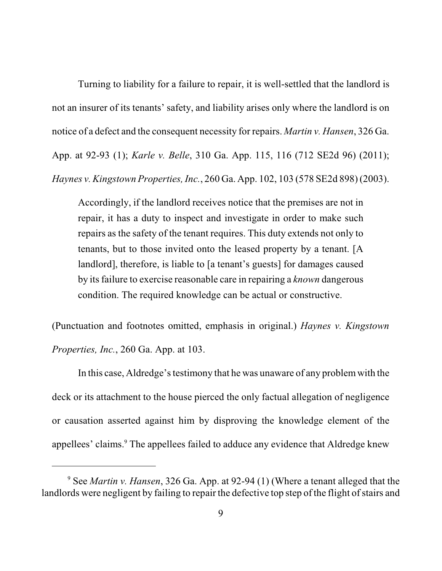Turning to liability for a failure to repair, it is well-settled that the landlord is not an insurer of its tenants' safety, and liability arises only where the landlord is on notice of a defect and the consequent necessity for repairs. *Martin v. Hansen*, 326 Ga. App. at 92-93 (1); *Karle v. Belle*, 310 Ga. App. 115, 116 (712 SE2d 96) (2011); *Haynes v. Kingstown Properties, Inc.*, 260 Ga. App. 102, 103 (578 SE2d 898) (2003).

Accordingly, if the landlord receives notice that the premises are not in repair, it has a duty to inspect and investigate in order to make such repairs as the safety of the tenant requires. This duty extends not only to tenants, but to those invited onto the leased property by a tenant. [A landlord], therefore, is liable to [a tenant's guests] for damages caused by its failure to exercise reasonable care in repairing a *known* dangerous condition. The required knowledge can be actual or constructive.

(Punctuation and footnotes omitted, emphasis in original.) *Haynes v. Kingstown Properties, Inc.*, 260 Ga. App. at 103.

In this case, Aldredge's testimony that he was unaware of any problem with the deck or its attachment to the house pierced the only factual allegation of negligence or causation asserted against him by disproving the knowledge element of the appellees' claims. <sup>9</sup> The appellees failed to adduce any evidence that Aldredge knew

<sup>9</sup> See *Martin v. Hansen*, 326 Ga. App. at 92-94 (1) (Where a tenant alleged that the landlords were negligent by failing to repair the defective top step of the flight of stairs and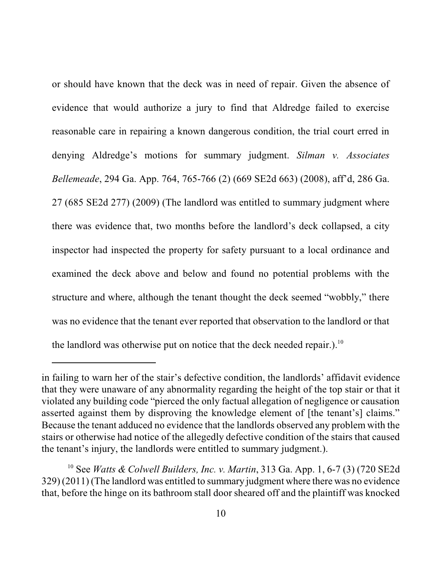or should have known that the deck was in need of repair. Given the absence of evidence that would authorize a jury to find that Aldredge failed to exercise reasonable care in repairing a known dangerous condition, the trial court erred in denying Aldredge's motions for summary judgment. *Silman v. Associates Bellemeade*, 294 Ga. App. 764, 765-766 (2) (669 SE2d 663) (2008), aff'd, 286 Ga. 27 (685 SE2d 277) (2009) (The landlord was entitled to summary judgment where there was evidence that, two months before the landlord's deck collapsed, a city inspector had inspected the property for safety pursuant to a local ordinance and examined the deck above and below and found no potential problems with the structure and where, although the tenant thought the deck seemed "wobbly," there was no evidence that the tenant ever reported that observation to the landlord or that the landlord was otherwise put on notice that the deck needed repair.).<sup>10</sup>

in failing to warn her of the stair's defective condition, the landlords' affidavit evidence that they were unaware of any abnormality regarding the height of the top stair or that it violated any building code "pierced the only factual allegation of negligence or causation asserted against them by disproving the knowledge element of [the tenant's] claims." Because the tenant adduced no evidence that the landlords observed any problem with the stairs or otherwise had notice of the allegedly defective condition of the stairs that caused the tenant's injury, the landlords were entitled to summary judgment.).

<sup>10</sup> See *Watts & Colwell Builders, Inc. v. Martin*, 313 Ga. App. 1, 6-7 (3) (720 SE2d 329) (2011) (The landlord was entitled to summary judgment where there was no evidence that, before the hinge on its bathroom stall door sheared off and the plaintiff was knocked